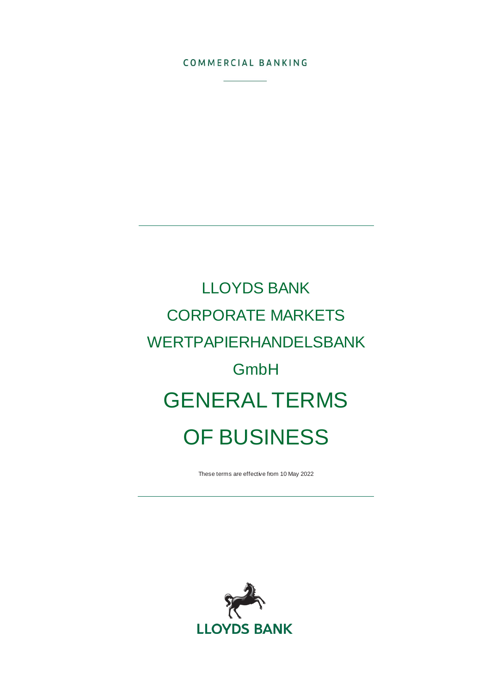#### COMMERCIAL BANKING

# LLOYDS BANK CORPORATE MARKETS WERTPAPIERHANDELSBANK GmbH GENERAL TERMS OF BUSINESS

These terms are effective from 10 May 2022

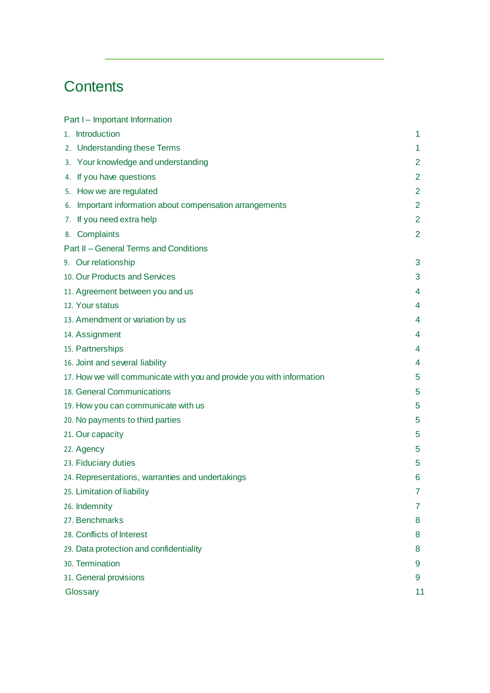# **Contents**

| Part I – Important Information          |                                                                       |                |
|-----------------------------------------|-----------------------------------------------------------------------|----------------|
| 1. Introduction                         |                                                                       | 1.             |
| 2. Understanding these Terms            |                                                                       | 1              |
| 3. Your knowledge and understanding     |                                                                       | $\mathbf{2}$   |
| 4. If you have questions                |                                                                       | 2              |
| 5. How we are regulated                 |                                                                       | $\overline{2}$ |
|                                         | 6. Important information about compensation arrangements              | $\overline{2}$ |
| 7. If you need extra help               |                                                                       | $\overline{2}$ |
| 8. Complaints                           |                                                                       | $\overline{2}$ |
| Part II - General Terms and Conditions  |                                                                       |                |
| 9. Our relationship                     |                                                                       | 3              |
| 10. Our Products and Services           |                                                                       | 3              |
| 11. Agreement between you and us        |                                                                       | 4              |
| 12. Your status                         |                                                                       | 4              |
| 13. Amendment or variation by us        |                                                                       | 4              |
| 14. Assignment                          |                                                                       | 4              |
| 15. Partnerships                        |                                                                       | 4              |
| 16. Joint and several liability         |                                                                       | 4              |
|                                         | 17. How we will communicate with you and provide you with information | 5              |
| 18. General Communications              |                                                                       | 5              |
| 19. How you can communicate with us     |                                                                       | 5              |
| 20. No payments to third parties        |                                                                       | 5              |
| 21. Our capacity                        |                                                                       | 5              |
| 22. Agency                              |                                                                       | 5              |
| 23. Fiduciary duties                    |                                                                       | 5              |
|                                         | 24. Representations, warranties and undertakings                      | 6              |
| 25. Limitation of liability             |                                                                       | 7              |
| 26. Indemnity                           |                                                                       | 7              |
| 27. Benchmarks                          |                                                                       | 8              |
| 28. Conflicts of Interest               |                                                                       | 8              |
| 29. Data protection and confidentiality |                                                                       | 8              |
| 30. Termination                         |                                                                       | 9              |
| 31. General provisions                  |                                                                       | 9              |
| Glossary                                |                                                                       | 11             |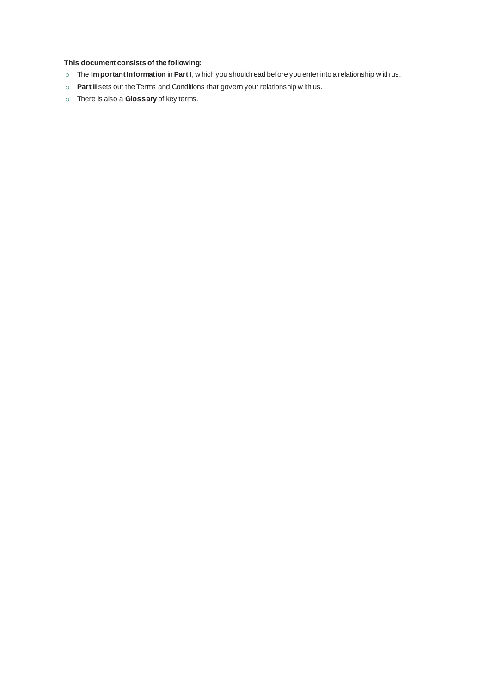#### **This document consists of the following:**

- o The **Important Information** in **Part I**, w hich you should read before you enter into a relationship w ith us.
- o **Part II** sets out the Terms and Conditions that govern your relationship w ith us.
- o There is also a **Glossary** of key terms.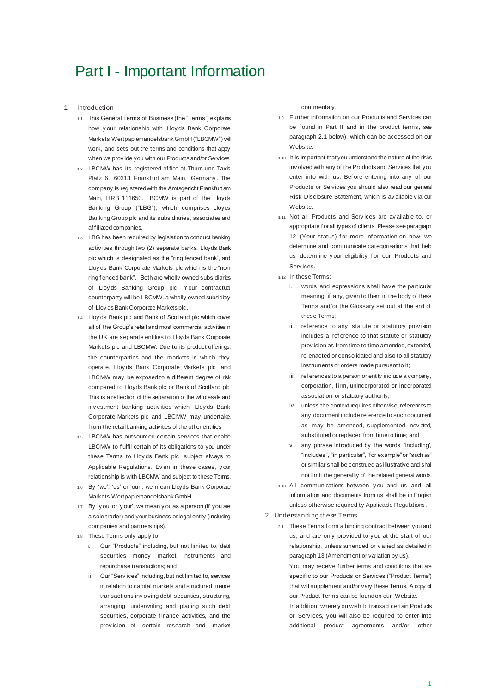## Part I - Important Information

- 1. Introduction
	- 1.1 This General Terms of Business (the "Terms") explains how y our relationship with Lloy ds Bank Corporate Markets Wertpapierhandelsbank GmbH ("LBCMW") will work, and sets out the terms and conditions that apply when we prov ide you with our Products and/or Services.
	- 1.2 LBCMW has its registered of fice at Thurn-und-Taxis Platz 6, 60313 Frankfurt am Main, Germany. The company is registered with the Amtsgericht Frankfurt am Main, HRB 111650. LBCMW is part of the Lloyds Banking Group ("LBG"), which comprises Lloyds Banking Group plc and its subsidiaries, associates and af f iliated companies.
	- 1.3 LBG has been required by legislation to conduct banking activ ities through two (2) separate banks, Lloyds Bank plc which is designated as the "ring fenced bank", and Lloy ds Bank Corporate Markets plc which is the "nonring f enced bank". Both are wholly owned subsidiaries of Lloy ds Banking Group plc. Your contractual counterparty will be LBCMW, a wholly owned subsidiary of Lloy ds Bank Corporate Markets plc.
	- 1.4 Lloy ds Bank plc and Bank of Scotland plc which cover all of the Group's retail and most commercial activities in the UK are separate entities to Lloyds Bank Corporate Markets plc and LBCMW. Due to its product offerings, the counterparties and the markets in which they operate, Lloy ds Bank Corporate Markets plc and LBCMW may be exposed to a different degree of risk compared to Lloyds Bank plc or Bank of Scotland plc. This is a ref lection of the separation of the wholesale and inv estment banking activ ities which Lloy ds Bank Corporate Markets plc and LBCMW may undertake, f rom the retail banking activities of the other entities
	- 1.5 LBCMW has outsourced certain services that enable LBCMW to fulfil certain of its obligations to you under these Terms to Lloy ds Bank plc, subject always to Applicable Regulations. Ev en in these cases, y our relationship is with LBCMW and subject to these Terms.
	- 1.6 By 'we', 'us' or 'our', we mean Lloyds Bank Corporate Markets Wertpapierhandelsbank GmbH.
	- 1.7 By 'y ou' or 'y our', we mean y ou as a person (if you are a sole trader) and your business or legal entity (including companies and partnerships).
	- 1.8 These Terms only apply to:
		- i. Our "Products" including, but not limited to, debt securities money market instruments and repurchase transactions; and
		- ii. Our "Serv ices" including, but not limited to, services in relation to capital markets and structured finance transactions inv olving debt securities, structuring, arranging, underwriting and placing such debt securities, corporate f inance activities, and the prov ision of certain research and market

commentary.

- 1.9 Further inf ormation on our Products and Services can be found in Part II and in the product terms, see paragraph 2.1 below), which can be accessed on our Website.
- 1.10 It is important that you understand the nature of the risks inv olved with any of the Products and Services that you enter into with us. Bef ore entering into any of our Products or Services you should also read our general Risk Disclosure Statement, which is av ailable v ia our Website.
- 1.11 Not all Products and Serv ices are av ailable to, or appropriate f or all types of clients. Please see paragraph 12 (Your status) for more information on how we determine and communicate categorisations that help us determine your eligibility for our Products and Serv ices.
- 1.12 In these Terms:
	- i. words and expressions shall have the particular meaning, if any, given to them in the body of these Terms and/or the Glossary set out at the end of these Terms;
	- ii. reference to any statute or statutory provision includes a ref erence to that statute or statutory prov ision as from time to time amended, extended, re-enacted or consolidated and also to all statutory instruments or orders made pursuant to it;
	- iii. ref erences to a person or entity include a company, corporation, f irm, unincorporated or incorporated association, or statutory authority;
	- iv . unless the context requires otherwise, references to any document include reference to such document as may be amended, supplemented, nov ated, substituted or replaced from time to time; and
	- v. any phrase introduced by the words "including", "includes", "in particular", "for example" or "such as" or similar shall be construed as illustrative and shall not limit the generality of the related general words.
- 1.13 All communications between y ou and us and all inf ormation and documents from us shall be in English unless otherwise required by Applicable Regulations.

#### 2. Understanding these Terms

2.1 These Terms f orm a binding contract between you and us, and are only prov ided to y ou at the start of our relationship, unless amended or v aried as detailed in paragraph 13 (Amendment or variation by us).

You may receive further terms and conditions that are specif ic to our Products or Services ("Product Terms") that will supplement and/or vary these Terms. A copy of our Product Terms can be found on our Website.

In addition, where y ou wish to transact certain Products or Serv ices, you will also be required to enter into additional product agreements and/or other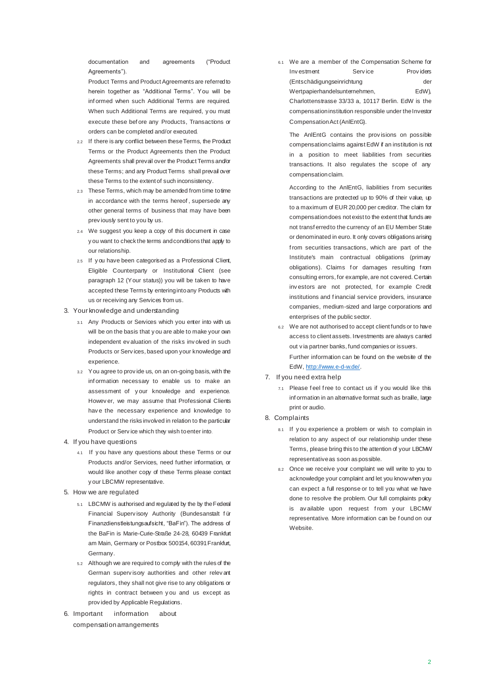documentation and agreements ("Product Agreements")

Product Terms and Product Agreements are referred to herein together as "Additional Terms". You will be inf ormed when such Additional Terms are required. When such Additional Terms are required, y ou must execute these bef ore any Products, Transactions or orders can be completed and/or executed.

- 2.2 If there is any conflict between these Terms, the Product Terms or the Product Agreements then the Product Agreements shall prevail over the Product Terms and/or these Terms; and any Product Terms shall prevail over these Terms to the extent of such inconsistency.
- 2.3 These Terms, which may be amended from time to time in accordance with the terms hereof , supersede any other general terms of business that may have been prev iously sent to you by us.
- 2.4 We suggest you keep a copy of this document in case y ou want to check the terms and conditions that apply to our relationship.
- 2.5 If y ou have been categorised as a Professional Client, Eligible Counterparty or Institutional Client (see paragraph 12 (Your status)) you will be taken to have accepted these Terms by entering into any Products with us or receiving any Services from us.
- 3. Your knowledge and understanding
	- 3.1 Any Products or Services which you enter into with us will be on the basis that y ou are able to make your own independent ev aluation of the risks inv olved in such Products or Serv ices, based upon your knowledge and experience.
	- 3.2 You agree to prov ide us, on an on-going basis, with the inf ormation necessary to enable us to make an assessment of y our knowledge and experience. Howev er, we may assume that Professional Clients hav e the necessary experience and knowledge to understand the risks involved in relation to the particular Product or Serv ice which they wish to enter into.
- 4. If you have questions
	- 4.1 If y ou have any questions about these Terms or our Products and/or Services, need further information, or would like another copy of these Terms please contact y our LBCMW representative.
- 5. How we are regulated
	- 5.1 LBCMW is authorised and regulated by the by the Federal Financial Superv isory Authority (Bundesanstalt f ür Finanzdienstleistungsaufsicht, "BaFin"). The address of the BaFin is Marie-Curie-Straße 24-28, 60439 Frankfurt am Main, Germany or Postbox 500154, 60391 Frankfurt, Germany.
	- 5.2 Although we are required to comply with the rules of the German superv isory authorities and other relev ant regulators, they shall not give rise to any obligations or rights in contract between y ou and us except as prov ided by Applicable Regulations.
- 6. Important information about compensation arrangements

6.1 We are a member of the Compensation Scheme for Inv estment Service Providers (Entschädigungseinrichtung der Wertpapierhandelsunternehmen, EdW), Charlottenstrasse 33/33 a, 10117 Berlin. EdW is the compensation institution responsible under the Investor Compensation Act (AnlEntG).

The AnlEntG contains the prov isions on possible compensation claims against EdW if an institution is not in a position to meet liabilities from securities transactions. It also regulates the scope of any compensation claim.

According to the AnlEntG, liabilities f rom securities transactions are protected up to 90% of their value, up to a maximum of EUR 20,000 per creditor. The claim for compensation does not exist to the extent that funds are not transf erred to the currency of an EU Member State or denominated in euro. It only covers obligations arising f rom securities transactions, which are part of the Institute's main contractual obligations (primary obligations). Claims for damages resulting from consulting errors, for example, are not covered. Certain inv estors are not protected, for example Credit institutions and f inancial service providers, insurance companies, medium-sized and large corporations and enterprises of the public sector.

- 6.2 We are not authorised to accept client funds or to have access to client assets. Investments are always carried out v ia partner banks, fund companies or issuers. Further information can be found on the website of the EdW[, http://www.e-d-w.de/](http://www.e-d-w.de/).
- 7. If you need extra help
	- 7.1 Please f eel f ree to contact us if y ou would like this inf ormation in an alternative format such as braille, large print or audio.

#### 8. Complaints

- 8.1 If y ou experience a problem or wish to complain in relation to any aspect of our relationship under these Terms, please bring this to the attention of your LBCMW representative as soon as possible.
- 8.2 Once we receive your complaint we will write to you to acknowledge your complaint and let you know when you can expect a full response or to tell you what we have done to resolve the problem. Our full complaints policy is av ailable upon request from your LBCMW representative. More information can be f ound on our Website.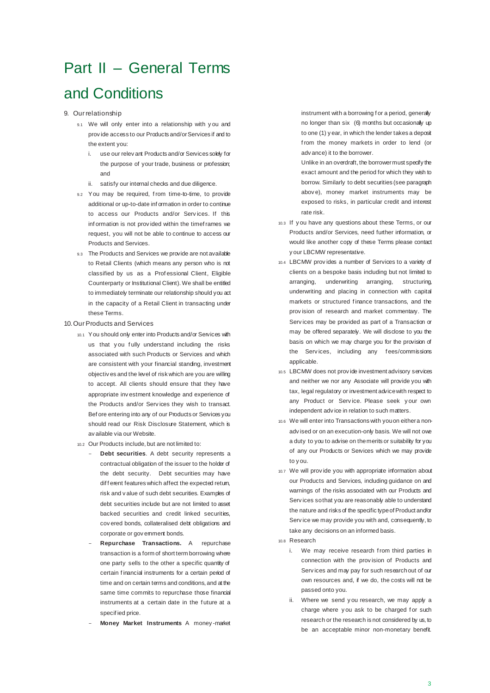# Part II – General Terms

### and Conditions

#### 9. Our relationship

- 9.1 We will only enter into a relationship with y ou and prov ide access to our Products and/or Services if and to the extent you:
	- i. use our relev ant Products and/or Services solely for the purpose of your trade, business or profession; and
	- ii. satisfy our internal checks and due diligence.
- 9.2 You may be required, from time-to-time, to provide additional or up-to-date inf ormation in order to continue to access our Products and/or Serv ices. If this inf ormation is not prov ided within the timef rames we request, you will not be able to continue to access our Products and Services.
- 9.3 The Products and Services we provide are not available to Retail Clients (which means any person who is not classified by us as a Prof essional Client, Eligible Counterparty or Institutional Client). We shall be entitled to immediately terminate our relationship should you act in the capacity of a Retail Client in transacting under these Terms.

#### 10.Our Products and Services

- 10.1 You should only enter into Products and/or Services with us that you fully understand including the risks associated with such Products or Services and which are consistent with your financial standing, investment objectiv es and the level of risk which are you are willing to accept. All clients should ensure that they have appropriate inv estment knowledge and experience of the Products and/or Serv ices they wish to transact. Bef ore entering into any of our Products or Services you should read our Risk Disclosure Statement, which is av ailable via our Website.
- 10.2 Our Products include, but are not limited to:
	- Debt securities. A debt security represents a contractual obligation of the issuer to the holder of the debt security. Debt securities may have dif f erent features which affect the expected return, risk and v alue of such debt securities. Examples of debt securities include but are not limited to asset backed securities and credit linked securities, cov ered bonds, collateralised debt obligations and corporate or gov emment bonds.
	- **Repurchase Transactions.** A repurchase transaction is a form of short term borrowing where one party sells to the other a specific quantity of certain f inancial instruments for a certain period of time and on certain terms and conditions, and at the same time commits to repurchase those financial instruments at a certain date in the future at a specif ied price.
	- **Money Market Instruments** A money -market

instrument with a borrowing f or a period, generally no longer than six (6) months but occasionally up to one (1) y ear, in which the lender takes a deposit f rom the money markets in order to lend (or adv ance) it to the borrower.

Unlike in an overdraft, the borrower must specify the exact amount and the period for which they wish to borrow. Similarly to debt securities (see paragraph abov e), money market instruments may be exposed to risks, in particular credit and interest rate risk.

- 10.3 If y ou have any questions about these Terms, or our Products and/or Services, need further information, or would like another copy of these Terms please contact y our LBCMW representative.
- 10.4 LBCMW prov ides a number of Services to a variety of clients on a bespoke basis including but not limited to arranging, underwriting arranging, structuring, underwriting and placing in connection with capital markets or structured f inance transactions, and the prov ision of research and market commentary. The Serv ices may be provided as part of a Transaction or may be offered separately. We will disclose to you the basis on which we may charge you for the provision of the Services, including any fees/commissions applicable.
- 10.5 LBCMW does not prov ide investment advisory services and neither we nor any Associate will provide you with tax, legal regulatory or investment advice with respect to any Product or Serv ice. Please seek y our own independent adv ice in relation to such matters.
- 10.6 We will enter into Transactions with you on either a nonadv ised or on an execution-only basis. We will not owe a duty to you to advise on the merits or suitability for you of any our Products or Services which we may provide to y ou.
- 10.7 We will prov ide you with appropriate information about our Products and Services, including guidance on and warnings of the risks associated with our Products and Serv ices so that you are reasonably able to understand the nature and risks of the specific type of Product and/or Serv ice we may provide you with and, consequently, to take any decisions on an informed basis.
- 10.8 Research
	- i. We may receive research from third parties in connection with the prov ision of Products and Serv ices and may pay for such research out of our own resources and, if we do, the costs will not be passed onto you.
	- ii. Where we send y ou research, we may apply a charge where you ask to be charged for such research or the research is not considered by us, to be an acceptable minor non-monetary benefit.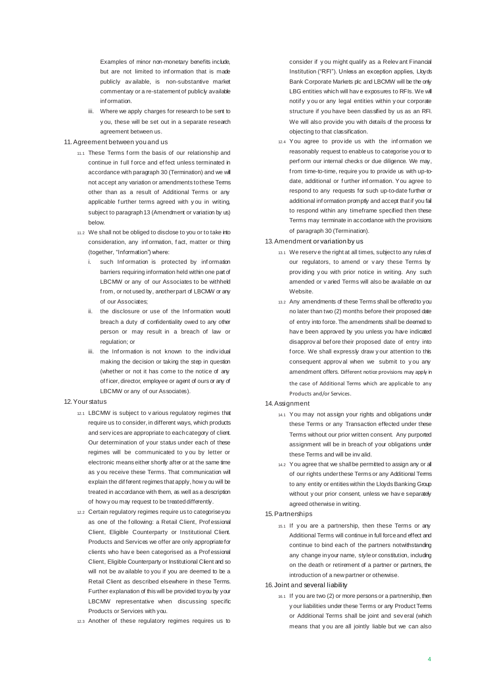Examples of minor non-monetary benefits include, but are not limited to inf ormation that is made publicly av ailable, is non-substantive market commentary or a re-statement of publicly available inf ormation.

iii. Where we apply charges for research to be sent to y ou, these will be set out in a separate research agreement between us.

#### 11.Agreement between you and us

- 11.1 These Terms f orm the basis of our relationship and continue in f ull f orce and ef fect unless terminated in accordance with paragraph 30 (Termination) and we will not accept any variation or amendments to these Terms other than as a result of Additional Terms or any applicable further terms agreed with you in writing, subject to paragraph 13 (Amendment or variation by us) below.
- 11.2 We shall not be obliged to disclose to you or to take into consideration, any inf ormation, f act, matter or thing (together, "Information") where:
	- i. such Information is protected by information barriers requiring information held within one part of LBCMW or any of our Associates to be withheld f rom, or not used by, another part of LBCMW or any of our Associates;
	- ii. the disclosure or use of the Information would breach a duty of confidentiality owed to any other person or may result in a breach of law or regulation; or
	- iii. the Information is not known to the individual making the decision or taking the step in question (whether or not it has come to the notice of any of ficer, director, employee or agent of ours or any of LBCMW or any of our Associates).

#### 12.Your status

- 12.1 LBCMW is subject to v arious regulatory regimes that require us to consider, in different ways, which products and serv ices are appropriate to each category of client. Our determination of your status under each of these regimes will be communicated to y ou by letter or electronic means either shortly after or at the same time as y ou receive these Terms. That communication will explain the dif ferent regimes that apply, how y ou will be treated in accordance with them, as well as a description of how y ou may request to be treated differently.
- 12.2 Certain regulatory regimes require us to categorise you as one of the f ollowing: a Retail Client, Prof essional Client, Eligible Counterparty or Institutional Client. Products and Services we offer are only appropriate for clients who hav e been categorised as a Prof essional Client, Eligible Counterparty or Institutional Client and so will not be av ailable to you if you are deemed to be a Retail Client as described elsewhere in these Terms. Further explanation of this will be provided to you by your LBCMW representative when discussing specific Products or Services with you.
- 12.3 Another of these regulatory regimes requires us to

consider if y ou might qualify as a Relev ant Financial Institution ("RFI"). Unless an exception applies, Lloyds Bank Corporate Markets plc and LBCMW will be the only LBG entities which will have exposures to RFIs. We will notif y y ou or any legal entities within y our corporate structure if you have been classified by us as an RFI. We will also provide you with details of the process for objecting to that classification.

12.4 You agree to prov ide us with the inf ormation we reasonably request to enable us to categorise you or to perf orm our internal checks or due diligence. We may, f rom time-to-time, require you to provide us with up-todate, additional or further information. You agree to respond to any requests for such up-to-date further or additional inf ormation promptly and accept that if you fail to respond within any timeframe specified then these Terms may terminate in accordance with the provisions of paragraph 30 (Termination).

#### 13.Amendment or variation by us

- 13.1 We reserv e the right at all times, subject to any rules of our regulators, to amend or v ary these Terms by prov iding y ou with prior notice in writing. Any such amended or v aried Terms will also be available on our Website.
- 13.2 Any amendments of these Terms shall be offered to you no later than two (2) months before their proposed date of entry into force. The amendments shall be deemed to hav e been approved by you unless you have indicated disapprov al bef ore their proposed date of entry into f orce. We shall expressly draw y our attention to this consequent approv al when we submit to y ou any amendment offers. Different notice provisions may apply in the case of Additional Terms which are applicable to any Products and/or Services.

#### 14.Assignment

- 14.1 You may not assign your rights and obligations under these Terms or any Transaction effected under these Terms without our prior written consent. Any purported assignment will be in breach of your obligations under these Terms and will be inv alid.
- 14.2 You agree that we shall be permitted to assign any or all of our rights under these Terms or any Additional Terms to any entity or entities within the Lloyds Banking Group without y our prior consent, unless we hav e separately agreed otherwise in writing.

#### 15.Partnerships

15.1 If y ou are a partnership, then these Terms or any Additional Terms will continue in full force and effect and continue to bind each of the partners notwithstanding any change in your name, style or constitution, including on the death or retirement of a partner or partners, the introduction of a new partner or otherwise.

#### 16. Joint and several liability

16.1 If you are two (2) or more persons or a partnership, then y our liabilities under these Terms or any Product Terms or Additional Terms shall be joint and sev eral (which means that y ou are all jointly liable but we can also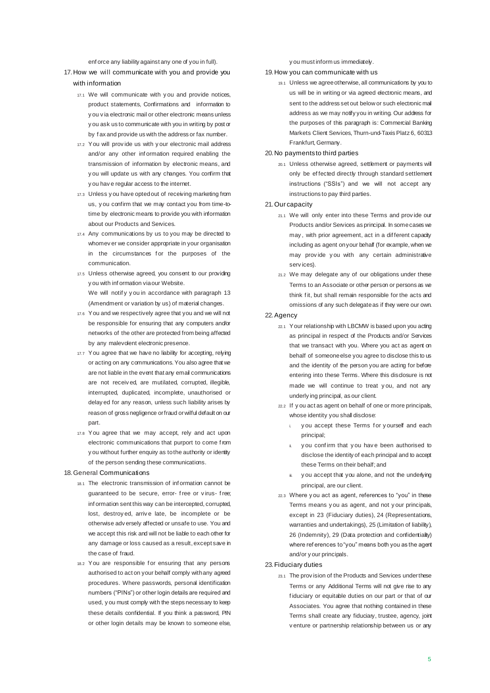enf orce any liability against any one of you in full).

- 17.How we will communicate with you and provide you with information
	- 17.1 We will communicate with y ou and provide notices, product statements, Confirmations and information to y ou v ia electronic mail or other electronic means unless y ou ask us to communicate with you in writing by post or by f ax and provide us with the address or fax number.
	- 17.2 You will prov ide us with y our electronic mail address and/or any other inf ormation required enabling the transmission of information by electronic means, and y ou will update us with any changes. You confirm that y ou hav e regular access to the internet.
	- 17.3 Unless y ou have opted out of receiving marketing from us, y ou confirm that we may contact you from time-totime by electronic means to provide you with information about our Products and Services.
	- 17.4 Any communications by us to you may be directed to whomev er we consider appropriate in your organisation in the circumstances for the purposes of the communication.
	- 17.5 Unless otherwise agreed, you consent to our providing y ou with inf ormation via our Website. We will notify you in accordance with paragraph 13 (Amendment or variation by us) of material changes.
	- 17.6 You and we respectively agree that you and we will not be responsible for ensuring that any computers and/or networks of the other are protected from being affected by any malevdent electronic presence.
	- 17.7 You agree that we have no liability for accepting, relying or acting on any communications. You also agree that we are not liable in the event that any email communications are not receiv ed, are mutilated, corrupted, illegible, interrupted, duplicated, incomplete, unauthorised or delay ed for any reason, unless such liability arises by reason of gross negligence or fraud or wilful default on our part.
	- 17.8 You agree that we may accept, rely and act upon electronic communications that purport to come f rom y ou without further enquiry as to the authority or identity of the person sending these communications.
- 18.General Communications
	- 18.1 The electronic transmission of inf ormation cannot be guaranteed to be secure, error- f ree or v irus- f ree; inf ormation sent this way can be intercepted, corrupted, lost, destroy ed, arriv e late, be incomplete or be otherwise adv ersely affected or unsafe to use. You and we accept this risk and will not be liable to each other for any damage or loss caused as a result, except save in the case of fraud.
	- 18.2 You are responsible for ensuring that any persons authorised to act on your behalf comply with any agreed procedures. Where passwords, personal identification numbers ("PINs") or other login details are required and used, y ou must comply with the steps necessary to keep these details confidential. If you think a password, PIN or other login details may be known to someone else,

y ou must inform us immediately.

19.How you can communicate with us

19.1 Unless we agree otherwise, all communications by you to us will be in writing or via agreed electronic means, and sent to the address set out below or such electronic mail address as we may notify you in writing. Our address for the purposes of this paragraph is: Commercial Banking Markets Client Services, Thurn-und-Taxis Platz 6, 60313 Frankfurt, Germany.

#### 20.No payments to third parties

- 20.1 Unless otherwise agreed, settlement or payments will only be effected directly through standard settlement instructions ("SSIs") and we will not accept any instructions to pay third parties.
- 21.Our capacity
	- 21.1 We will only enter into these Terms and prov ide our Products and/or Services as principal. In some cases we may , with prior agreement, act in a dif ferent capacity including as agent on your behalf (for example, when we may prov ide y ou with any certain administrative serv ices).
	- 21.2 We may delegate any of our obligations under these Terms to an Associate or other person or persons as we think fit, but shall remain responsible for the acts and omissions of any such delegate as if they were our own.

#### 22.Agency

- 22.1 Your relationship with LBCMW is based upon you acting as principal in respect of the Products and/or Services that we transact with you. Where you act as agent on behalf of someone else you agree to disclose this to us and the identity of the person you are acting for before entering into these Terms. Where this disclosure is not made we will continue to treat y ou, and not any underly ing principal, as our client.
- 22.2 If y ou act as agent on behalf of one or more principals, whose identity you shall disclose:
	- y ou accept these Terms for y ourself and each principal;
	- y ou confirm that you have been authorised to disclose the identity of each principal and to accept these Terms on their behalf; and
	- ii. you accept that you alone, and not the underlying principal, are our client.
- 22.3 Where y ou act as agent, references to "you" in these Terms means y ou as agent, and not y our principals, except in 23 (Fiduciary duties), 24 (Representations, warranties and undertakings), 25 (Limitation of liability), 26 (Indemnity), 29 (Data protection and confidentiality) where ref erences to "you" means both you as the agent and/or y our principals.
- 23.Fiduciary duties
	- 23.1 The prov ision of the Products and Services under these Terms or any Additional Terms will not give rise to any f iduciary or equitable duties on our part or that of our Associates. You agree that nothing contained in these Terms shall create any fiduciary, trustee, agency, joint v enture or partnership relationship between us or any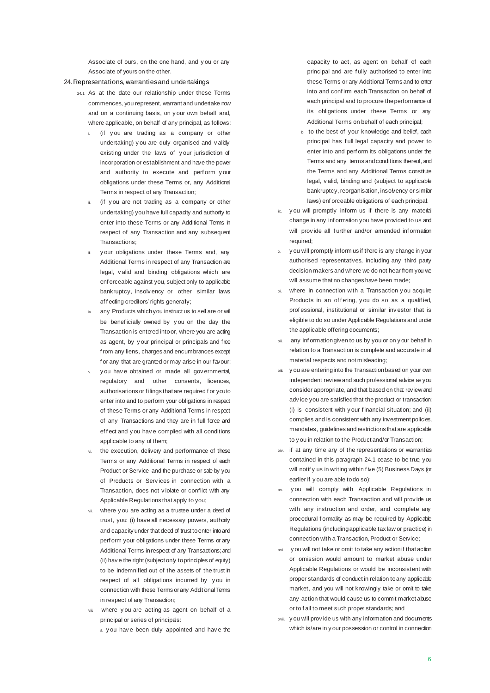Associate of ours, on the one hand, and y ou or any Associate of yours on the other.

#### 24.Representations, warranties and undertakings

- 24.1 As at the date our relationship under these Terms commences, you represent, warrant and undertake now and on a continuing basis, on y our own behalf and, where applicable, on behalf of any principal, as follows:
	- (if you are trading as a company or other undertaking) y ou are duly organised and v alidly existing under the laws of y our jurisdiction of incorporation or establishment and have the power and authority to execute and perform your obligations under these Terms or, any Additional Terms in respect of any Transaction;
	- (if you are not trading as a company or other undertaking) you have full capacity and authority to enter into these Terms or any Additional Terms in respect of any Transaction and any subsequent Transactions;
	- y our obligations under these Terms and, any Additional Terms in respect of any Transaction are legal, v alid and binding obligations which are enf orceable against you, subject only to applicable bankruptcy, insolv ency or other similar laws af f ecting creditors' rights generally;
	- any Products which you instruct us to sell are or will be benef icially owned by y ou on the day the Transaction is entered into or, where you are acting as agent, by y our principal or principals and free f rom any liens, charges and encumbrances except f or any that are granted or may arise in our favour;
	- y ou have obtained or made all governmental, regulatory and other consents, licences, authorisations or f ilings that are required f or you to enter into and to perform your obligations in respect of these Terms or any Additional Terms in respect of any Transactions and they are in full force and effect and you have complied with all conditions applicable to any of them;
	- the execution, delivery and performance of these Terms or any Additional Terms in respect of each Product or Service and the purchase or sale by you of Products or Serv ices in connection with a Transaction, does not v iolate or conflict with any Applicable Regulations that apply to you;
	- where you are acting as a trustee under a deed of trust, you: (i) have all necessary powers, authority and capacity under that deed of trust to enter into and perf orm your obligations under these Terms or any Additional Terms in respect of any Transactions; and (ii) hav e the right (subject only to principles of equity) to be indemnified out of the assets of the trust in respect of all obligations incurred by y ou in connection with these Terms or any Additional Terms in respect of any Transaction;
	- where you are acting as agent on behalf of a principal or series of principals:
		- a. y ou hav e been duly appointed and hav e the

capacity to act, as agent on behalf of each principal and are f ully authorised to enter into these Terms or any Additional Terms and to enter into and conf irm each Transaction on behalf of each principal and to procure the performance of its obligations under these Terms or any Additional Terms on behalf of each principal;

- b to the best of your knowledge and belief, each principal has f ull legal capacity and power to enter into and perf orm its obligations under the Terms and any terms and conditions thereof, and the Terms and any Additional Terms constitute legal, v alid, binding and (subject to applicable bankruptcy, reorganisation, insolvency or similar laws) enf orceable obligations of each principal.
- ix. y ou will promptly inform us if there is any material change in any inf ormation you have provided to us and will provide all further and/or amended information required;
- y ou will promptly inform us if there is any change in your authorised representatives, including any third party decision makers and where we do not hear from you we will assume that no changes have been made:
- where in connection with a Transaction y ou acquire Products in an offering, you do so as a qualified, prof essional, institutional or similar inv estor that is eligible to do so under Applicable Regulations and under the applicable offering documents;
- any inf ormation given to us by you or on y our behalf in relation to a Transaction is complete and accurate in all material respects and not misleading;
- xiii. y ou are entering into the Transaction based on your own independent review and such professional advice as you consider appropriate, and that based on that review and adv ice you are satisfied that the product or transaction: (i) is consistent with y our f inancial situation; and (ii) complies and is consistent with any investment policies, mandates, guidelines and restrictions that are applicable to y ou in relation to the Product and/or Transaction;
- xiv. if at any time any of the representations or warranties contained in this paragraph 24.1 cease to be true, you will notif y us in writing within f ive (5) Business Days (or earlier if y ou are able to do so);
- xv. y ou will comply with Applicable Regulations in connection with each Transaction and will prov ide us with any instruction and order, and complete any procedural formality as may be required by Applicable Regulations (including applicable tax law or practice) in connection with a Transaction, Product or Service;
- xvi. y ou will not take or omit to take any action if that action or omission would amount to market abuse under Applicable Regulations or would be inconsistent with proper standards of conduct in relation to any applicable market, and you will not knowingly take or omit to take any action that would cause us to commit market abuse or to f ail to meet such proper standards; and
- xviii. y ou will prov ide us with any information and documents which is/are in y our possession or control in connection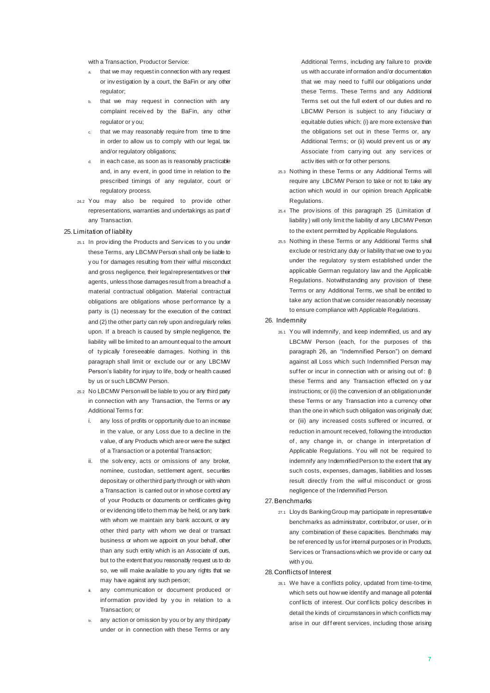with a Transaction, Product or Service:

- that we may request in connection with any request or inv estigation by a court, the BaFin or any other regulator;
- b. that we may request in connection with any complaint receiv ed by the BaFin, any other regulator or y ou;
- c. that we may reasonably require from time to time in order to allow us to comply with our legal, tax and/or regulatory obligations:
- in each case, as soon as is reasonably practicable and, in any ev ent, in good time in relation to the prescribed timings of any regulator, court or regulatory process.
- 24.2 You may also be required to prov ide other representations, warranties and undertakings as part of any Transaction.

#### 25.Limitation of liability

- 25.1 In prov iding the Products and Serv ices to y ou under these Terms, any LBCMW Person shall only be liable to y ou f or damages resulting from their wilful misconduct and gross negligence, their legal representatives or their agents, unless those damages result from a breach of a material contractual obligation. Material contractual obligations are obligations whose perf ormance by a party is (1) necessary for the execution of the contract and (2) the other party can rely upon and regularly relies upon. If a breach is caused by simple negligence, the liability will be limited to an amount equal to the amount of ty pically f oreseeable damages. Nothing in this paragraph shall limit or exclude our or any LBCMW Person's liability for injury to life, body or health caused by us or such LBCMW Person.
- 25.2 No LBCMW Person will be liable to you or any third party in connection with any Transaction, the Terms or any Additional Terms f or:
	- i. any loss of profits or opportunity due to an increase in the v alue, or any Loss due to a decline in the v alue, of any Products which are or were the subject of a Transaction or a potential Transaction;
	- ii. the solv ency, acts or omissions of any broker, nominee, custodian, settlement agent, securities depositary or other third party through or with whom a Transaction is carried out or in whose control any of your Products or documents or certificates giving or ev idencing title to them may be held, or any bank with whom we maintain any bank account, or any other third party with whom we deal or transact business or whom we appoint on your behalf, other than any such entity which is an Associate of ours, but to the extent that you reasonably request us to do so, we will make available to you any rights that we may have against any such person;
	- any communication or document produced or inf ormation prov ided by y ou in relation to a Transaction; or
	- iv. any action or omission by you or by any third party under or in connection with these Terms or any

Additional Terms, including any failure to provide us with accurate inf ormation and/or documentation that we may need to f ulfil our obligations under these Terms. These Terms and any Additional Terms set out the full extent of our duties and no LBCMW Person is subject to any fiduciary or equitable duties which: (i) are more extensive than the obligations set out in these Terms or, any Additional Terms; or (ii) would prev ent us or any Associate f rom carry ing out any serv ices or activ ities with or for other persons.

- 25.3 Nothing in these Terms or any Additional Terms will require any LBCMW Person to take or not to take any action which would in our opinion breach Applicable Regulations.
- 25.4 The prov isions of this paragraph 25 (Limitation of liability ) will only limit the liability of any LBCMW Person to the extent permitted by Applicable Regulations.
- 25.5 Nothing in these Terms or any Additional Terms shall exclude or restrict any duty or liability that we owe to you under the regulatory sy stem established under the applicable German regulatory law and the Applicable Regulations. Notwithstanding any provision of these Terms or any Additional Terms, we shall be entitled to take any action that we consider reasonably necessary to ensure compliance with Applicable Regulations.

#### 26. Indemnity

26.1 You will indemnify, and keep indemnified, us and any LBCMW Person (each, for the purposes of this paragraph 26, an "Indemnified Person") on demand against all Loss which such Indemnified Person may suffer or incur in connection with or arising out of:  $(i)$ these Terms and any Transaction effected on y our instructions; or (ii) the conversion of an obligation under these Terms or any Transaction into a currency other than the one in which such obligation was originally due; or (iii) any increased costs suffered or incurred, or reduction in amount received, following the introduction of , any change in, or change in interpretation of Applicable Regulations. You will not be required to indemnify any Indemnified Person to the extent that any such costs, expenses, damages, liabilities and losses result directly from the wilful misconduct or gross negligence of the Indemnified Person.

#### 27.Benchmarks

27.1 Lloy ds Banking Group may participate in representative benchmarks as administrator, contributor, or user, or in any combination of these capacities. Benchmarks may be ref erenced by us for internal purposes or in Products, Serv ices or Transactions which we prov ide or carry out with y ou.

#### 28.Conflicts of Interest

28.1 We hav e a conflicts policy, updated from time-to-time, which sets out how we identify and manage all potential conf licts of interest. Our conf licts policy describes in detail the kinds of circumstances in which conflicts may arise in our different services, including those arising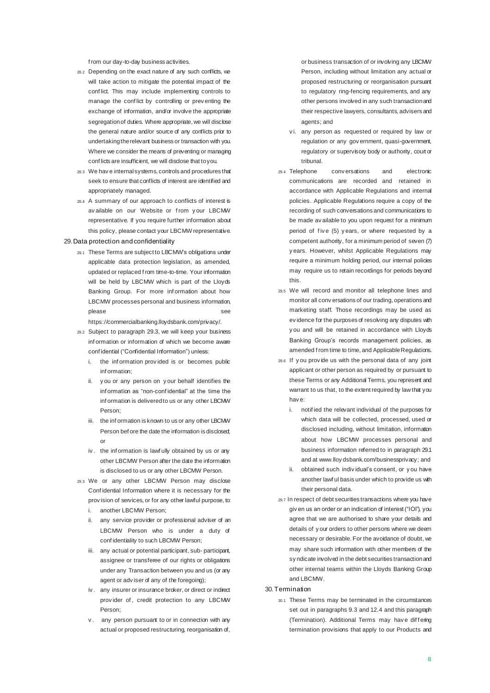f rom our day-to-day business activities.

- 28.2 Depending on the exact nature of any such conflicts, we will take action to mitigate the potential impact of the conf lict. This may include implementing controls to manage the conf lict by controlling or prev enting the exchange of information, and/or involve the appropriate segregation of duties. Where appropriate, we will disclose the general nature and/or source of any conflicts prior to undertaking the relevant business or transaction with you. Where we consider the means of preventing or managing conf licts are insufficient, we will disclose that to you.
- 28.3 We hav e internal systems, controls and procedures that seek to ensure that conflicts of interest are identified and appropriately managed.
- 28.4 A summary of our approach to conflicts of interest is av ailable on our Website or from your LBCMW representative. If you require further information about this policy, please contact your LBCMW representative.

#### 29.Data protection and confidentiality

29.1 These Terms are subject to LBCMW's obligations under applicable data protection legislation, as amended, updated or replaced f rom time-to-time. Your information will be held by LBCMW which is part of the Lloyds Banking Group. For more inf ormation about how LBCMW processes personal and business information, please see

https://commercialbanking.lloydsbank.com/privacy/.

- 29.2 Subject to paragraph 29.3, we will keep your business inf ormation or information of which we become aware conf idential ("Confidential Information") unless:
	- i. the information provided is or becomes public inf ormation;
	- ii. y ou or any person on y our behalf identifies the inf ormation as "non-conf idential" at the time the inf ormation is delivered to us or any other LBCMW Person;
	- iii. the inf ormation is known to us or any other LBCMW Person bef ore the date the information is disclosed; or
	- iv . the inf ormation is lawf ully obtained by us or any other LBCMW Person after the date the information is disclosed to us or any other LBCMW Person.
- 29.3 We or any other LBCMW Person may disclose Conf idential Information where it is necessary for the prov ision of services, or for any other lawful purpose, to:
	- i. another LBCMW Person;
	- ii. any service provider or professional adviser of an LBCMW Person who is under a duty of conf identiality to such LBCMW Person;
	- iii. any actual or potential participant, sub- participant, assignee or transferee of our rights or obligations under any Transaction between you and us (or any agent or adv iser of any of the foregoing);
	- iv . any insurer or insurance broker, or direct or indirect provider of, credit protection to any LBCMW Person;
	- v. any person pursuant to or in connection with any actual or proposed restructuring, reorganisation of,

or business transaction of or involving any LBCMW Person, including without limitation any actual or proposed restructuring or reorganisation pursuant to regulatory ring-fencing requirements, and any other persons involved in any such transaction and their respective lawyers, consultants, advisers and agents; and

- vi. any person as requested or required by law or regulation or any gov ernment, quasi-government, regulatory or supervisory body or authority, court or tribunal.
- 29.4 Telephone conv ersations and electronic communications are recorded and retained in accordance with Applicable Regulations and internal policies. Applicable Regulations require a copy of the recording of such conversations and communications to be made av ailable to you upon request for a minimum period of five (5) years, or where requested by a competent authority, for a minimum period of seven (7) y ears. However, whilst Applicable Regulations may require a minimum holding period, our internal policies may require us to retain recordings for periods beyond this.
- 29.5 We will record and monitor all telephone lines and monitor all conv ersations of our trading, operations and marketing staff. Those recordings may be used as ev idence for the purposes of resolving any disputes with y ou and will be retained in accordance with Lloyds Banking Group's records management policies, as amended f rom time to time, and Applicable Regulations.
- 29.6 If y ou prov ide us with the personal data of any joint applicant or other person as required by or pursuant to these Terms or any Additional Terms, you represent and warrant to us that, to the extent required by law that you hav e:
	- i. notif ied the relevant individual of the purposes for which data will be collected, processed, used or disclosed including, without limitation, information about how LBCMW processes personal and business information referred to in paragraph 29.1 and at www.lloy dsbank.com/businessprivacy; and
	- ii. obtained such indiv idual's consent, or y ou have another lawf ul basis under which to provide us with their personal data.
- 29.7 In respect of debt securities transactions where you have giv en us an order or an indication of interest ("IOI"), you agree that we are authorised to share your details and details of y our orders to other persons where we deem necessary or desirable. For the avoidance of doubt, we may share such information with other members of the sy ndicate involved in the debt securities transaction and other internal teams within the Lloyds Banking Group and LBCMW

#### 30.Termination

30.1 These Terms may be terminated in the circumstances set out in paragraphs 9.3 and 12.4 and this paragraph (Termination). Additional Terms may have differing termination provisions that apply to our Products and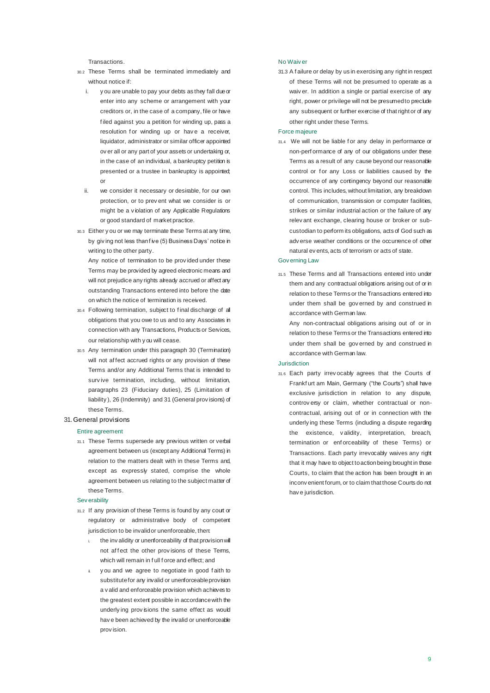**Transactions** 

- 30.2 These Terms shall be terminated immediately and without notice if:
	- i. y ou are unable to pay your debts as they fall due or enter into any scheme or arrangement with your creditors or, in the case of a company, file or have f iled against you a petition for winding up, pass a resolution for winding up or have a receiver, liquidator, administrator or similar officer appointed ov er all or any part of your assets or undertaking or, in the case of an individual, a bankruptcy petition is presented or a trustee in bankruptcy is appointed; or
	- ii. we consider it necessary or desirable, for our own protection, or to prev ent what we consider is or might be a v iolation of any Applicable Regulations or good standard of market practice.
- 30.3 Either y ou or we may terminate these Terms at any time, by giving not less than five (5) Business Days' notice in writing to the other party.

Any notice of termination to be prov ided under these Terms may be provided by agreed electronic means and will not prejudice any rights already accrued or affect any outstanding Transactions entered into before the date on which the notice of termination is received.

- 30.4 Following termination, subject to f inal discharge of all obligations that you owe to us and to any Associates in connection with any Transactions, Products or Services, our relationship with y ou will cease.
- 30.5 Any termination under this paragraph 30 (Termination) will not af fect accrued rights or any provision of these Terms and/or any Additional Terms that is intended to surv ive termination, including, without limitation, paragraphs 23 (Fiduciary duties), 25 (Limitation of liability ), 26 (Indemnity) and 31 (General prov isions) of these Terms.

#### 31.General provisions

#### Entire agreement

31.1 These Terms supersede any previous written or verbal agreement between us (except any Additional Terms) in relation to the matters dealt with in these Terms and, except as expressly stated, comprise the whole agreement between us relating to the subject matter of these Terms.

#### Sev erability

- 31.2 If any provision of these Terms is found by any court or regulatory or administrative body of competent jurisdiction to be invalid or unenforceable, then:
	- i. the inv alidity or unenforceability of that provision will not affect the other provisions of these Terms, which will remain in f ull f orce and effect; and
	- y ou and we agree to negotiate in good f aith to substitute for any invalid or unenforceable provision a v alid and enforceable provision which achieves to the greatest extent possible in accordance with the underly ing prov isions the same effect as would hav e been achieved by the invalid or unenforceable prov ision.

#### No Waiv er

31.3 A f ailure or delay by us in exercising any right in respect of these Terms will not be presumed to operate as a waiv er. In addition a single or partial exercise of any right, power or privilege will not be presumed to preclude any subsequent or further exercise of that right or of any other right under these Terms.

#### Force majeure

31.4 We will not be liable f or any delay in performance or non-perf ormance of any of our obligations under these Terms as a result of any cause beyond our reasonable control or for any Loss or liabilities caused by the occurrence of any contingency beyond our reasonable control. This includes, without limitation, any breakdown of communication, transmission or computer facilities, strikes or similar industrial action or the failure of any relev ant exchange, clearing house or broker or subcustodian to perform its obligations, acts of God such as adv erse weather conditions or the occurrence of other natural ev ents, acts of terrorism or acts of state.

#### Gov erning Law

31.5 These Terms and all Transactions entered into under them and any contractual obligations arising out of or in relation to these Terms or the Transactions entered into under them shall be gov erned by and construed in accordance with German law.

Any non-contractual obligations arising out of or in relation to these Terms or the Transactions entered into under them shall be gov erned by and construed in accordance with German law.

#### Jurisdiction

31.6 Each party irrev ocably agrees that the Courts of Frankf urt am Main, Germany ("the Courts") shall have exclusive jurisdiction in relation to any dispute, controv ersy or claim, whether contractual or noncontractual, arising out of or in connection with the underly ing these Terms (including a dispute regarding the existence, v alidity, interpretation, breach, termination or enf orceability of these Terms) or Transactions. Each party irrevocably waives any right that it may have to object to action being brought in those Courts, to claim that the action has been brought in an inconv enient forum, or to claim that those Courts do not hav e jurisdiction.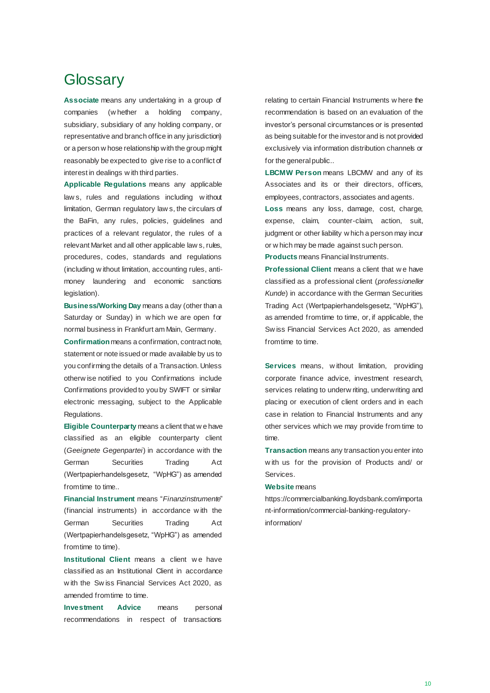### **Glossary**

**Associate** means any undertaking in a group of companies (w hether a holding company, subsidiary, subsidiary of any holding company, or representative and branch office in any jurisdiction) or a person w hose relationship with the group might reasonably be expected to give rise to a conflict of interest in dealings w ith third parties.

**Applicable Regulations** means any applicable law s, rules and regulations including w ithout limitation, German regulatory law s, the circulars of the BaFin, any rules, policies, guidelines and practices of a relevant regulator, the rules of a relevant Market and all other applicable law s, rules, procedures, codes, standards and regulations (including w ithout limitation, accounting rules, antimoney laundering and economic sanctions legislation).

**Business/Working Day** means a day (other than a Saturday or Sunday) in w hich we are open for normal business in Frankfurt am Main, Germany.

**Confirmation** means a confirmation, contract note, statement or note issued or made available by us to you confirming the details of a Transaction. Unless otherw ise notified to you Confirmations include Confirmations provided to you by SWIFT or similar electronic messaging, subject to the Applicable Regulations.

**Eligible Counterparty** means a client that w e have classified as an eligible counterparty client (*Geeignete Gegenpartei*) in accordance with the German Securities Trading Act (Wertpapierhandelsgesetz, "WpHG") as amended from time to time..

**Financial Instrument** means "*Finanzinstrumente*" (financial instruments) in accordance w ith the German Securities Trading Act (Wertpapierhandelsgesetz, "WpHG") as amended from time to time).

**Institutional Client means a client we have** classified as an Institutional Client in accordance w ith the Sw iss Financial Services Act 2020, as amended from time to time.

**Investment Advice** means personal recommendations in respect of transactions

relating to certain Financial Instruments w here the recommendation is based on an evaluation of the investor's personal circumstances or is presented as being suitable for the investor and is not provided exclusively via information distribution channels or for the general public..

**LBCMW Person** means LBCMW and any of its Associates and its or their directors, officers, employees, contractors, associates and agents.

**Loss** means any loss, damage, cost, charge, expense, claim, counter-claim, action, suit, judgment or other liability w hich a person may incur or w hich may be made against such person.

**Products** means Financial Instruments.

**Professional Client** means a client that w e have classified as a professional client (*professioneller Kunde*) in accordance with the German Securities Trading Act (Wertpapierhandelsgesetz, "WpHG"), as amended from time to time, or, if applicable, the Sw iss Financial Services Act 2020, as amended from time to time.

**Services** means, w ithout limitation, providing corporate finance advice, investment research, services relating to underwriting, underwriting and placing or execution of client orders and in each case in relation to Financial Instruments and any other services which we may provide from time to time.

**Transaction** means any transaction you enter into w ith us for the provision of Products and/ or **Services** 

#### **Website** means

https://commercialbanking.lloydsbank.com/importa nt-information/commercial-banking-regulatoryinformation/